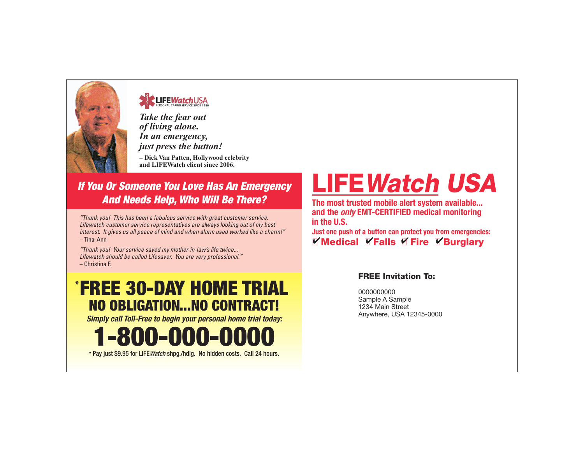

## **LIFEWatchUSA**

*Take the fear out of living alone. In an emergency, just press the button!*

*–* **Dick Van Patten, Hollywood celebrity and LIFEWatch client since 2006.**

### *If You Or Someone You Love Has An Emergency And Needs Help, Who Will Be There?*

*"Thank you! This has been a fabulous service with great customer service. Lifewatch customer service representatives are always looking out of my best interest. It gives us all peace of mind and when alarm used worked like a charm!"* – Tina-Ann

*"Thank you! Your service saved my mother-in-law's life twice... Lifewatch should be called Lifesaver. You are very professional."* – Christina F.

# FREE 30-DAY HOME TRIAL \* NO OBLIGATION...NO CONTRACT!

*Simply call Toll-Free to begin your personal home trial today:*

1-800-000-0000

\* Pay just \$9.95 for LIFE*Watch* shpg./hdlg. No hidden costs. Call 24 hours.

# LIFEWatch USA

**The most trusted mobile alert system available... and the** *only* **EMT-CERTIFIED medical monitoring in the U.S.**

**Just one push of a button can protect you from emergencies:** Y Medical Y Falls Y Fire Y Burglary

#### FREE Invitation To:

0000000000 Sample A Sample 1234 Main Street Anywhere, USA 12345-0000